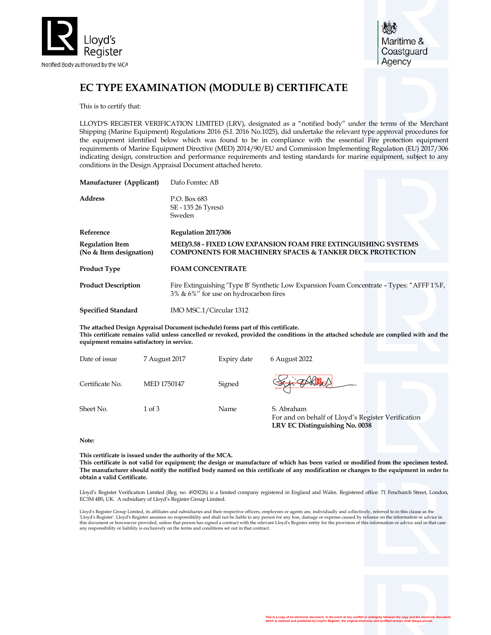

# EC TYPE EXAMINATION (MODULE B) CERTIFICATE

This is to certify that:

LLOYD'S REGISTER VERIFICATION LIMITED (LRV), designated as a "notified body" under the terms of the Merchant Shipping (Marine Equipment) Regulations 2016 (S.I. 2016 No.1025), did undertake the relevant type approval procedures for the equipment identified below which was found to be in compliance with the essential Fire protection equipment requirements of Marine Equipment Directive (MED) 2014/90/EU and Commission Implementing Regulation (EU) 2017/306 indicating design, construction and performance requirements and testing standards for marine equipment, subject to any conditions in the Design Appraisal Document attached hereto.

| Manufacturer (Applicant)                          | Dafo Fomtec AB                                                                                                                        |  |  |  |  |
|---------------------------------------------------|---------------------------------------------------------------------------------------------------------------------------------------|--|--|--|--|
| <b>Address</b>                                    | P.O. Box 683<br>SE - 135 26 Tyresö<br>Sweden                                                                                          |  |  |  |  |
| Reference                                         | Regulation 2017/306                                                                                                                   |  |  |  |  |
| <b>Regulation Item</b><br>(No & Item designation) | MED/3.58 - FIXED LOW EXPANSION FOAM FIRE EXTINGUISHING SYSTEMS<br><b>COMPONENTS FOR MACHINERY SPACES &amp; TANKER DECK PROTECTION</b> |  |  |  |  |
| <b>Product Type</b>                               | <b>FOAM CONCENTRATE</b>                                                                                                               |  |  |  |  |
| <b>Product Description</b>                        | Fire Extinguishing 'Type B' Synthetic Low Expansion Foam Concentrate - Types: "AFFF 1%F,<br>3% & 6%" for use on hydrocarbon fires     |  |  |  |  |
| <b>Specified Standard</b>                         | IMO MSC.1/Circular 1312                                                                                                               |  |  |  |  |

The attached Design Appraisal Document (schedule) forms part of this certificate. This certificate remains valid unless cancelled or revoked, provided the conditions in the attached schedule are complied with and the equipment remains satisfactory in service.

| Date of issue   | 7 August 2017      | Expiry date | 6 August 2022                                                                                      |  |
|-----------------|--------------------|-------------|----------------------------------------------------------------------------------------------------|--|
| Certificate No. | <b>MED 1750147</b> | Signed      | FAKRAA                                                                                             |  |
| Sheet No.       | $1$ of $3$         | Name        | S. Abraham<br>For and on behalf of Lloyd's Register Verification<br>LRV EC Distinguishing No. 0038 |  |

#### Note:

This certificate is issued under the authority of the MCA. This certificate is not valid for equipment; the design or manufacture of which has been varied or modified from the specimen tested. The manufacturer should notify the notified body named on this certificate of any modification or changes to the equipment in order to obtain a valid Certificate.

Lloyd's Register Verification Limited (Reg. no. 4929226) is a limited company registered in England and Wales. Registered office: 71 Fenchurch Street, London, EC3M 4BS, UK. A subsidiary of Lloyd's Register Group Limited.

Lloyd's Register Group Limited, its affiliates and subsidiaries and their respective officers, employees or agents are, individually and collectively, referred to in this clause as the 'Lloyd's Register'. Lloyd's Register assumes no responsibility and shall not be liable to any person for any loss, damage or expense caused by reliance on the information or advice in<br>this document or howsoever provided, u any responsibility or liability is exclusively on the terms and conditions set out in that contract.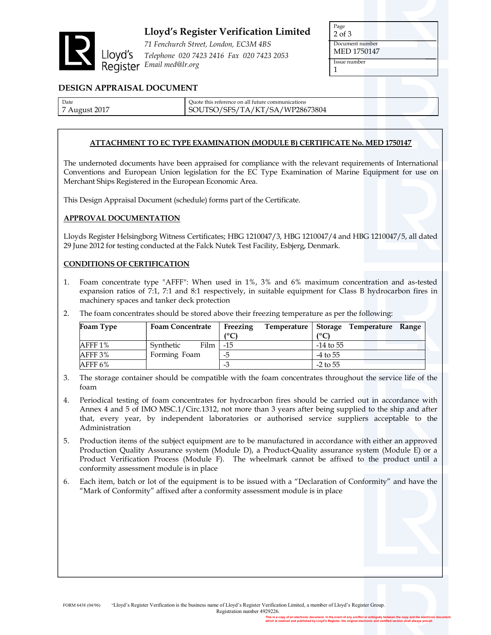

# Lloyd's Register Verification Limited

71 Fenchurch Street, London, EC3M 4BS Telephone 020 7423 2416 Fax 020 7423 2053 Register Email med@Ir.org

1

Document number MED 1750147

Issue number

### DESIGN APPRAISAL DOCUMENT

Date 7 August 2017 Quote this reference on all future communications SOUTSO/SFS/TA/KT/SA/WP28673804

### ATTACHMENT TO EC TYPE EXAMINATION (MODULE B) CERTIFICATE No. MED 1750147

The undernoted documents have been appraised for compliance with the relevant requirements of International Conventions and European Union legislation for the EC Type Examination of Marine Equipment for use on Merchant Ships Registered in the European Economic Area.

This Design Appraisal Document (schedule) forms part of the Certificate.

### APPROVAL DOCUMENTATION

Lloyds Register Helsingborg Witness Certificates; HBG 1210047/3, HBG 1210047/4 and HBG 1210047/5, all dated 29 June 2012 for testing conducted at the Falck Nutek Test Facility, Esbjerg, Denmark.

#### CONDITIONS OF CERTIFICATION

- 1. Foam concentrate type "AFFF": When used in 1%, 3% and 6% maximum concentration and as-tested expansion ratios of 7:1, 7:1 and 8:1 respectively, in suitable equipment for Class B hydrocarbon fires in machinery spaces and tanker deck protection
- 2. The foam concentrates should be stored above their freezing temperature as per the following:

| Foam Type  | <b>Foam Concentrate</b> | Freezing          |             | Temperature Storage Temperature Range |  |
|------------|-------------------------|-------------------|-------------|---------------------------------------|--|
|            |                         | $^{\prime\circ}C$ | (የ $C$      |                                       |  |
| AFFF 1%    | Film  <br>Synthetic     | $-15$             | $-14$ to 55 |                                       |  |
| $A$ FFF 3% | Forming Foam            | -5                | -4 to 55    |                                       |  |
| AFFF $6\%$ |                         | - 3               | $-2$ to 55  |                                       |  |

- 3. The storage container should be compatible with the foam concentrates throughout the service life of the foam
- 4. Periodical testing of foam concentrates for hydrocarbon fires should be carried out in accordance with Annex 4 and 5 of IMO MSC.1/Circ.1312, not more than 3 years after being supplied to the ship and after that, every year, by independent laboratories or authorised service suppliers acceptable to the Administration
- 5. Production items of the subject equipment are to be manufactured in accordance with either an approved Production Quality Assurance system (Module D), a Product-Quality assurance system (Module E) or a Product Verification Process (Module F). The wheelmark cannot be affixed to the product until a conformity assessment module is in place
- 6. Each item, batch or lot of the equipment is to be issued with a "Declaration of Conformity" and have the "Mark of Conformity" affixed after a conformity assessment module is in place